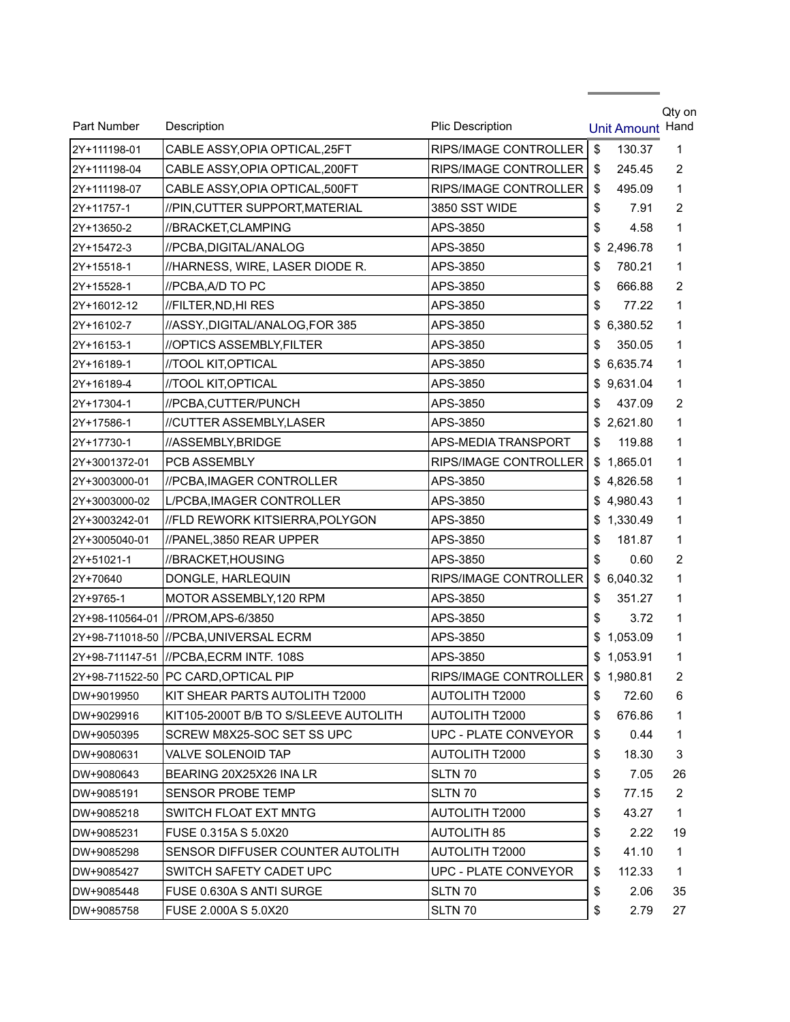| Part Number   | Description                             | <b>Plic Description</b>    |    | <b>Unit Amount</b> | Qty on<br>Hand |
|---------------|-----------------------------------------|----------------------------|----|--------------------|----------------|
| 2Y+111198-01  | CABLE ASSY, OPIA OPTICAL, 25FT          | RIPS/IMAGE CONTROLLER      | \$ | 130.37             | 1              |
| 2Y+111198-04  | CABLE ASSY, OPIA OPTICAL, 200FT         | RIPS/IMAGE CONTROLLER      | \$ | 245.45             | 2              |
| 2Y+111198-07  | CABLE ASSY, OPIA OPTICAL, 500FT         | RIPS/IMAGE CONTROLLER      | S. | 495.09             | 1              |
| 2Y+11757-1    | //PIN,CUTTER SUPPORT,MATERIAL           | 3850 SST WIDE              | \$ | 7.91               | 2              |
| 2Y+13650-2    | //BRACKET,CLAMPING                      | APS-3850                   | \$ | 4.58               | 1              |
| 2Y+15472-3    | //PCBA, DIGITAL/ANALOG                  | APS-3850                   | \$ | 2,496.78           | 1              |
| 2Y+15518-1    | //HARNESS, WIRE, LASER DIODE R.         | APS-3850                   | \$ | 780.21             | 1              |
| 2Y+15528-1    | //PCBA, A/D TO PC                       | APS-3850                   | \$ | 666.88             | 2              |
| 2Y+16012-12   | //FILTER, ND, HI RES                    | APS-3850                   | \$ | 77.22              | 1              |
| 2Y+16102-7    | //ASSY., DIGITAL/ANALOG, FOR 385        | APS-3850                   | \$ | 6,380.52           | 1              |
| 2Y+16153-1    | //OPTICS ASSEMBLY, FILTER               | APS-3850                   | \$ | 350.05             | 1              |
| 2Y+16189-1    | //TOOL KIT, OPTICAL                     | APS-3850                   | \$ | 6,635.74           | 1              |
| 2Y+16189-4    | //TOOL KIT, OPTICAL                     | APS-3850                   |    | \$9,631.04         | 1              |
| 2Y+17304-1    | //PCBA,CUTTER/PUNCH                     | APS-3850                   | \$ | 437.09             | 2              |
| 2Y+17586-1    | //CUTTER ASSEMBLY, LASER                | APS-3850                   |    | \$2,621.80         | 1              |
| 2Y+17730-1    | //ASSEMBLY,BRIDGE                       | <b>APS-MEDIA TRANSPORT</b> | \$ | 119.88             | 1              |
| 2Y+3001372-01 | PCB ASSEMBLY                            | RIPS/IMAGE CONTROLLER      |    | \$1,865.01         | 1              |
| 2Y+3003000-01 | //PCBA, IMAGER CONTROLLER               | APS-3850                   |    | \$4,826.58         | 1              |
| 2Y+3003000-02 | L/PCBA, IMAGER CONTROLLER               | APS-3850                   |    | \$4,980.43         | 1              |
| 2Y+3003242-01 | //FLD REWORK KITSIERRA,POLYGON          | APS-3850                   | \$ | 1,330.49           | 1              |
| 2Y+3005040-01 | //PANEL,3850 REAR UPPER                 | APS-3850                   | \$ | 181.87             | 1              |
| 2Y+51021-1    | //BRACKET,HOUSING                       | APS-3850                   | \$ | 0.60               | 2              |
| 2Y+70640      | DONGLE, HARLEQUIN                       | RIPS/IMAGE CONTROLLER      |    | \$6,040.32         | 1              |
| 2Y+9765-1     | MOTOR ASSEMBLY, 120 RPM                 | APS-3850                   | \$ | 351.27             | 1              |
|               | 2Y+98-110564-01  //PROM,APS-6/3850      | APS-3850                   | \$ | 3.72               | 1              |
|               | 2Y+98-711018-50 ///PCBA,UNIVERSAL ECRM  | APS-3850                   | \$ | 1,053.09           | 1              |
|               | 2Y+98-711147-51  //PCBA,ECRM INTF. 108S | APS-3850                   |    | \$1,053.91         | 1              |
|               | 2Y+98-711522-50 PC CARD, OPTICAL PIP    | RIPS/IMAGE CONTROLLER      |    | \$1,980.81         | $\overline{2}$ |
| DW+9019950    | KIT SHEAR PARTS AUTOLITH T2000          | AUTOLITH T2000             | \$ | 72.60              | 6              |
| DW+9029916    | KIT105-2000T B/B TO S/SLEEVE AUTOLITH   | <b>AUTOLITH T2000</b>      | \$ | 676.86             | 1              |
| DW+9050395    | SCREW M8X25-SOC SET SS UPC              | UPC - PLATE CONVEYOR       | \$ | 0.44               | 1              |
| DW+9080631    | VALVE SOLENOID TAP                      | <b>AUTOLITH T2000</b>      | \$ | 18.30              | 3              |
| DW+9080643    | BEARING 20X25X26 INA LR                 | SLTN 70                    | \$ | 7.05               | 26             |
| DW+9085191    | <b>SENSOR PROBE TEMP</b>                | SLTN 70                    | \$ | 77.15              | $\overline{2}$ |
| DW+9085218    | SWITCH FLOAT EXT MNTG                   | AUTOLITH T2000             | \$ | 43.27              | 1              |
| DW+9085231    | FUSE 0.315A S 5.0X20                    | <b>AUTOLITH 85</b>         | \$ | 2.22               | 19             |
| DW+9085298    | SENSOR DIFFUSER COUNTER AUTOLITH        | <b>AUTOLITH T2000</b>      | \$ | 41.10              | 1              |
| DW+9085427    | SWITCH SAFETY CADET UPC                 | UPC - PLATE CONVEYOR       | \$ | 112.33             | 1              |
| DW+9085448    | FUSE 0.630A S ANTI SURGE                | SLTN 70                    | \$ | 2.06               | 35             |
| DW+9085758    | FUSE 2.000A S 5.0X20                    | SLTN 70                    | \$ | 2.79               | 27             |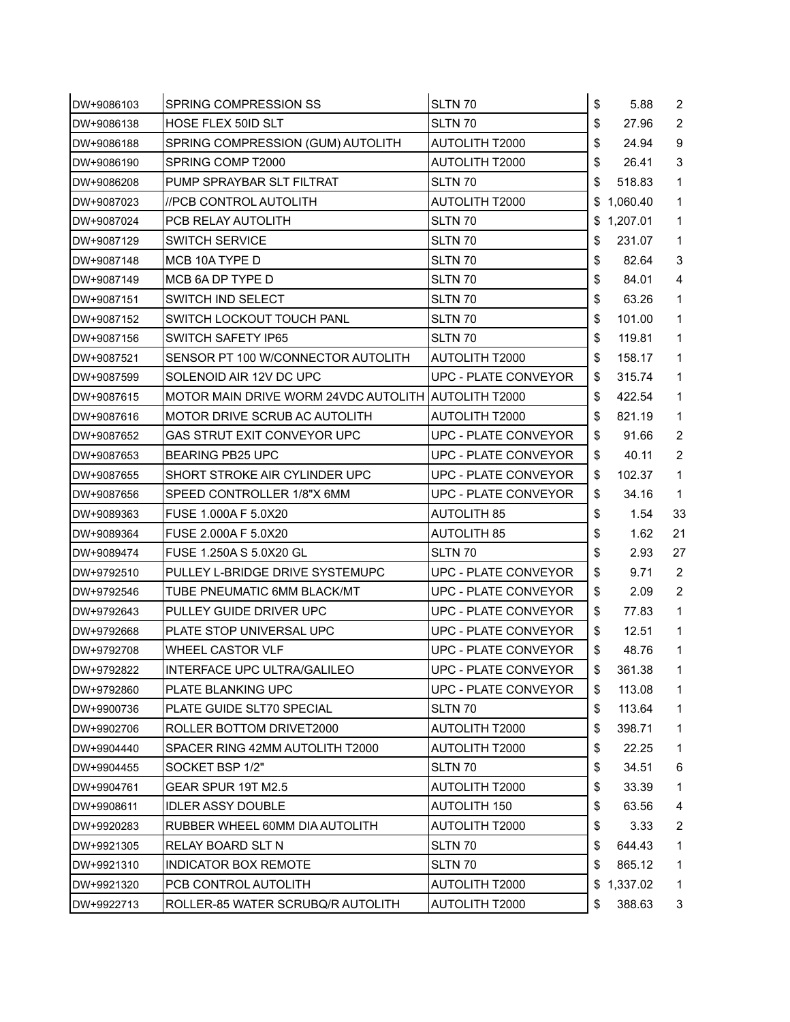| DW+9086103 | SPRING COMPRESSION SS                               | SLTN 70                     | \$<br>5.88   | 2                       |
|------------|-----------------------------------------------------|-----------------------------|--------------|-------------------------|
| DW+9086138 | HOSE FLEX 50ID SLT                                  | SLTN 70                     | \$<br>27.96  | 2                       |
| DW+9086188 | SPRING COMPRESSION (GUM) AUTOLITH                   | <b>AUTOLITH T2000</b>       | \$<br>24.94  | 9                       |
| DW+9086190 | SPRING COMP T2000                                   | <b>AUTOLITH T2000</b>       | \$<br>26.41  | 3                       |
| DW+9086208 | PUMP SPRAYBAR SLT FILTRAT                           | SLTN 70                     | \$<br>518.83 | $\mathbf{1}$            |
| DW+9087023 | //PCB CONTROL AUTOLITH                              | <b>AUTOLITH T2000</b>       | \$1,060.40   | $\mathbf{1}$            |
| DW+9087024 | PCB RELAY AUTOLITH                                  | SLTN 70                     | \$1,207.01   | $\mathbf{1}$            |
| DW+9087129 | <b>SWITCH SERVICE</b>                               | SLTN 70                     | \$<br>231.07 | $\mathbf{1}$            |
| DW+9087148 | MCB 10A TYPE D                                      | SLTN 70                     | \$<br>82.64  | $\sqrt{3}$              |
| DW+9087149 | MCB 6A DP TYPE D                                    | SLTN 70                     | \$<br>84.01  | $\overline{\mathbf{4}}$ |
| DW+9087151 | SWITCH IND SELECT                                   | SLTN 70                     | \$<br>63.26  | $\mathbf{1}$            |
| DW+9087152 | SWITCH LOCKOUT TOUCH PANL                           | SLTN 70                     | \$<br>101.00 | $\mathbf{1}$            |
| DW+9087156 | SWITCH SAFETY IP65                                  | SLTN 70                     | \$<br>119.81 | $\mathbf{1}$            |
| DW+9087521 | SENSOR PT 100 W/CONNECTOR AUTOLITH                  | <b>AUTOLITH T2000</b>       | \$<br>158.17 | $\mathbf{1}$            |
| DW+9087599 | SOLENOID AIR 12V DC UPC                             | <b>UPC - PLATE CONVEYOR</b> | \$<br>315.74 | $\mathbf{1}$            |
| DW+9087615 | MOTOR MAIN DRIVE WORM 24VDC AUTOLITH AUTOLITH T2000 |                             | \$<br>422.54 | $\mathbf{1}$            |
| DW+9087616 | MOTOR DRIVE SCRUB AC AUTOLITH                       | <b>AUTOLITH T2000</b>       | \$<br>821.19 | $\mathbf{1}$            |
| DW+9087652 | GAS STRUT EXIT CONVEYOR UPC                         | UPC - PLATE CONVEYOR        | \$<br>91.66  | $\overline{2}$          |
| DW+9087653 | <b>BEARING PB25 UPC</b>                             | <b>UPC - PLATE CONVEYOR</b> | \$<br>40.11  | 2                       |
| DW+9087655 | SHORT STROKE AIR CYLINDER UPC                       | <b>UPC - PLATE CONVEYOR</b> | \$<br>102.37 | $\mathbf{1}$            |
| DW+9087656 | SPEED CONTROLLER 1/8"X 6MM                          | <b>UPC - PLATE CONVEYOR</b> | \$<br>34.16  | $\mathbf{1}$            |
| DW+9089363 | FUSE 1.000A F 5.0X20                                | AUTOLITH 85                 | \$<br>1.54   | 33                      |
| DW+9089364 | FUSE 2.000A F 5.0X20                                | <b>AUTOLITH 85</b>          | \$<br>1.62   | 21                      |
| DW+9089474 | FUSE 1.250A S 5.0X20 GL                             | SLTN 70                     | \$<br>2.93   | 27                      |
| DW+9792510 | PULLEY L-BRIDGE DRIVE SYSTEMUPC                     | UPC - PLATE CONVEYOR        | \$<br>9.71   | 2                       |
| DW+9792546 | TUBE PNEUMATIC 6MM BLACK/MT                         | UPC - PLATE CONVEYOR        | \$<br>2.09   | $\overline{2}$          |
| DW+9792643 | PULLEY GUIDE DRIVER UPC                             | UPC - PLATE CONVEYOR        | \$<br>77.83  | $\mathbf{1}$            |
| DW+9792668 | PLATE STOP UNIVERSAL UPC                            | UPC - PLATE CONVEYOR        | \$<br>12.51  | $\mathbf{1}$            |
| DW+9792708 | WHEEL CASTOR VLF                                    | UPC - PLATE CONVEYOR        | \$<br>48.76  | 1                       |
| DW+9792822 | INTERFACE UPC ULTRA/GALILEO                         | UPC - PLATE CONVEYOR        | \$<br>361.38 | $\mathbf{1}$            |
| DW+9792860 | PLATE BLANKING UPC                                  | UPC - PLATE CONVEYOR        | \$<br>113.08 | $\mathbf{1}$            |
| DW+9900736 | PLATE GUIDE SLT70 SPECIAL                           | SLTN 70                     | \$<br>113.64 | $\mathbf{1}$            |
| DW+9902706 | ROLLER BOTTOM DRIVET2000                            | AUTOLITH T2000              | \$<br>398.71 | $\mathbf{1}$            |
| DW+9904440 | SPACER RING 42MM AUTOLITH T2000                     | <b>AUTOLITH T2000</b>       | \$<br>22.25  | $\mathbf{1}$            |
| DW+9904455 | SOCKET BSP 1/2"                                     | SLTN 70                     | \$<br>34.51  | 6                       |
| DW+9904761 | GEAR SPUR 19T M2.5                                  | <b>AUTOLITH T2000</b>       | \$<br>33.39  | $\mathbf{1}$            |
| DW+9908611 | <b>IDLER ASSY DOUBLE</b>                            | <b>AUTOLITH 150</b>         | \$<br>63.56  | $\overline{\mathbf{4}}$ |
| DW+9920283 | RUBBER WHEEL 60MM DIA AUTOLITH                      | AUTOLITH T2000              | \$<br>3.33   | $\overline{2}$          |
| DW+9921305 | RELAY BOARD SLT N                                   | SLTN 70                     | \$<br>644.43 | $\mathbf{1}$            |
| DW+9921310 | <b>INDICATOR BOX REMOTE</b>                         | SLTN 70                     | \$<br>865.12 | $\mathbf{1}$            |
| DW+9921320 | PCB CONTROL AUTOLITH                                | AUTOLITH T2000              | \$1,337.02   | $\mathbf{1}$            |
| DW+9922713 | ROLLER-85 WATER SCRUBQ/R AUTOLITH                   | AUTOLITH T2000              | \$<br>388.63 | 3                       |